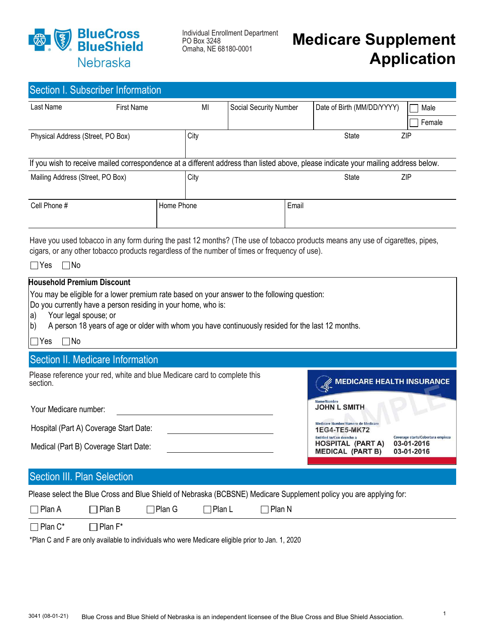

Individual Enrollment Department PO Box 3248 Omaha, NE 68180-0001

# Medicare Supplement Application

| Section I. Subscriber Information                                                                                                                                                                                                                                                                                                             |                                                                                               |            |               |                        |                                                                                  |                                                                                                                                    |        |  |
|-----------------------------------------------------------------------------------------------------------------------------------------------------------------------------------------------------------------------------------------------------------------------------------------------------------------------------------------------|-----------------------------------------------------------------------------------------------|------------|---------------|------------------------|----------------------------------------------------------------------------------|------------------------------------------------------------------------------------------------------------------------------------|--------|--|
| Last Name                                                                                                                                                                                                                                                                                                                                     | <b>First Name</b>                                                                             |            | MI            | Social Security Number |                                                                                  | Date of Birth (MM/DD/YYYY)                                                                                                         | Male   |  |
|                                                                                                                                                                                                                                                                                                                                               |                                                                                               |            |               |                        |                                                                                  |                                                                                                                                    | Female |  |
| Physical Address (Street, PO Box)                                                                                                                                                                                                                                                                                                             |                                                                                               |            | City          |                        |                                                                                  | <b>State</b>                                                                                                                       | ZIP    |  |
|                                                                                                                                                                                                                                                                                                                                               |                                                                                               |            |               |                        |                                                                                  |                                                                                                                                    |        |  |
|                                                                                                                                                                                                                                                                                                                                               |                                                                                               |            |               |                        |                                                                                  | If you wish to receive mailed correspondence at a different address than listed above, please indicate your mailing address below. |        |  |
| Mailing Address (Street, PO Box)                                                                                                                                                                                                                                                                                                              |                                                                                               |            | City          |                        |                                                                                  | <b>State</b>                                                                                                                       | ZIP    |  |
| Cell Phone #                                                                                                                                                                                                                                                                                                                                  |                                                                                               | Home Phone |               |                        | Email                                                                            |                                                                                                                                    |        |  |
| Have you used tobacco in any form during the past 12 months? (The use of tobacco products means any use of cigarettes, pipes,<br>cigars, or any other tobacco products regardless of the number of times or frequency of use).<br>$\Box$ Yes<br>$\Box$ No                                                                                     |                                                                                               |            |               |                        |                                                                                  |                                                                                                                                    |        |  |
| <b>Household Premium Discount</b><br>You may be eligible for a lower premium rate based on your answer to the following question:<br>Do you currently have a person residing in your home, who is:<br>Your legal spouse; or<br>la)<br>A person 18 years of age or older with whom you have continuously resided for the last 12 months.<br>b) |                                                                                               |            |               |                        |                                                                                  |                                                                                                                                    |        |  |
| $\Box$ No<br>$\Box$ Yes                                                                                                                                                                                                                                                                                                                       |                                                                                               |            |               |                        |                                                                                  |                                                                                                                                    |        |  |
|                                                                                                                                                                                                                                                                                                                                               | Section II. Medicare Information                                                              |            |               |                        |                                                                                  |                                                                                                                                    |        |  |
| Please reference your red, white and blue Medicare card to complete this<br>section.                                                                                                                                                                                                                                                          |                                                                                               |            |               |                        |                                                                                  | <b>MEDICARE HEALTH INSURANCE</b>                                                                                                   |        |  |
| Name/Nombre<br><b>JOHN L SMITH</b><br>Your Medicare number:                                                                                                                                                                                                                                                                                   |                                                                                               |            |               |                        |                                                                                  |                                                                                                                                    |        |  |
|                                                                                                                                                                                                                                                                                                                                               | Medicare Number/Número de Medicare<br>Hospital (Part A) Coverage Start Date:<br>1EG4-TE5-MK72 |            |               |                        |                                                                                  |                                                                                                                                    |        |  |
| Medical (Part B) Coverage Start Date:                                                                                                                                                                                                                                                                                                         |                                                                                               |            |               |                        | Entitled to/Con derecho a<br><b>HOSPITAL (PART A)</b><br><b>MEDICAL (PART B)</b> | Coverage starts/Cobertura empieza<br>03-01-2016<br>03-01-2016                                                                      |        |  |
| Section III. Plan Selection                                                                                                                                                                                                                                                                                                                   |                                                                                               |            |               |                        |                                                                                  |                                                                                                                                    |        |  |
|                                                                                                                                                                                                                                                                                                                                               |                                                                                               |            |               |                        |                                                                                  |                                                                                                                                    |        |  |
| Please select the Blue Cross and Blue Shield of Nebraska (BCBSNE) Medicare Supplement policy you are applying for:<br>$\sqcap$ Plan G<br>$\Box$ Plan N                                                                                                                                                                                        |                                                                                               |            |               |                        |                                                                                  |                                                                                                                                    |        |  |
| $\Box$ Plan A                                                                                                                                                                                                                                                                                                                                 | Plan B                                                                                        |            | $\Box$ Plan L |                        |                                                                                  |                                                                                                                                    |        |  |
| $\Box$ Plan C*                                                                                                                                                                                                                                                                                                                                | Plan F*                                                                                       |            |               |                        |                                                                                  |                                                                                                                                    |        |  |

\*Plan C and F are only available to individuals who were Medicare eligible prior to Jan. 1, 2020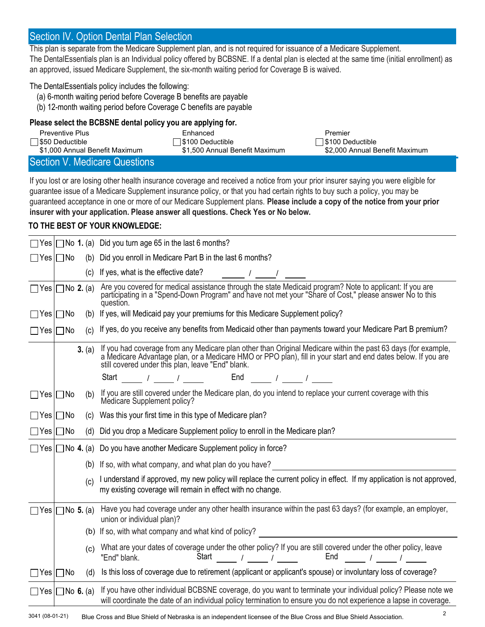# Section IV. Option Dental Plan Selection

This plan is separate from the Medicare Supplement plan, and is not required for issuance of a Medicare Supplement.

The DentalEssentials plan is an Individual policy offered by BCBSNE. If a dental plan is elected at the same time (initial enrollment) as an approved, issued Medicare Supplement, the six-month waiting period for Coverage B is waived.

#### The DentalEssentials policy includes the following:

- (a) 6-month waiting period before Coverage B benefits are payable
- (b) 12-month waiting period before Coverage C benefits are payable

### Please select the BCBSNE dental policy you are applying for.

| Preventive Plus                | Enhanced                       | Premier                        |
|--------------------------------|--------------------------------|--------------------------------|
| S50 Deductible                 | □ \$100 Deductible             | ∃\$100 Deductible              |
| \$1,000 Annual Benefit Maximum | \$1.500 Annual Benefit Maximum | \$2,000 Annual Benefit Maximum |
| Section V. Medicare Questions  |                                |                                |

If you lost or are losing other health insurance coverage and received a notice from your prior insurer saying you were eligible for guarantee issue of a Medicare Supplement insurance policy, or that you had certain rights to buy such a policy, you may be guaranteed acceptance in one or more of our Medicare Supplement plans. Please include a copy of the notice from your prior insurer with your application. Please answer all questions. Check Yes or No below.

### TO THE BEST OF YOUR KNOWLEDGE:

|                             |        | $\Box$ Yes $\Box$ No 1. (a) Did you turn age 65 in the last 6 months?                                                                                                                                                                                                                                                                                      |
|-----------------------------|--------|------------------------------------------------------------------------------------------------------------------------------------------------------------------------------------------------------------------------------------------------------------------------------------------------------------------------------------------------------------|
| $\Box$ Yes $\Box$ No        |        | (b) Did you enroll in Medicare Part B in the last 6 months?                                                                                                                                                                                                                                                                                                |
|                             | (c)    | If yes, what is the effective date?<br>$\frac{1}{2}$ $\frac{1}{2}$ $\frac{1}{2}$ $\frac{1}{2}$ $\frac{1}{2}$ $\frac{1}{2}$ $\frac{1}{2}$ $\frac{1}{2}$ $\frac{1}{2}$ $\frac{1}{2}$ $\frac{1}{2}$ $\frac{1}{2}$ $\frac{1}{2}$ $\frac{1}{2}$ $\frac{1}{2}$ $\frac{1}{2}$ $\frac{1}{2}$ $\frac{1}{2}$ $\frac{1}{2}$ $\frac{1}{2}$ $\frac{1}{2}$ $\frac{1}{2}$ |
| $\Box$ Yes $\Box$ No 2. (a) |        | Are you covered for medical assistance through the state Medicaid program? Note to applicant: If you are participating in a "Spend-Down Program" and have not met your "Share of Cost," please answer No to this<br>question.                                                                                                                              |
| $\Box$ Yes $\Box$ No        | (b)    | If yes, will Medicaid pay your premiums for this Medicare Supplement policy?                                                                                                                                                                                                                                                                               |
| $\Box$ Yes $\Box$ No        | (c)    | If yes, do you receive any benefits from Medicaid other than payments toward your Medicare Part B premium?                                                                                                                                                                                                                                                 |
|                             | 3. (a) | If you had coverage from any Medicare plan other than Original Medicare within the past 63 days (for example, a Medicare Advantage plan, or a Medicare HMO or PPO plan), fill in your start and end dates below. If you are st                                                                                                                             |
|                             |        | Start _____ / ____ / ____ End ____ / ____ / ____                                                                                                                                                                                                                                                                                                           |
| $\Box$ Yes $\Box$ No        | (b)    | If you are still covered under the Medicare plan, do you intend to replace your current coverage with this<br>Medicare Supplement policy?                                                                                                                                                                                                                  |
| ⊃Yes  ∏No                   | (C)    | Was this your first time in this type of Medicare plan?                                                                                                                                                                                                                                                                                                    |
| ∃Yes ⊡No                    |        | (d) Did you drop a Medicare Supplement policy to enroll in the Medicare plan?                                                                                                                                                                                                                                                                              |
|                             |        | $\Box$ Yes $\Box$ No 4. (a) Do you have another Medicare Supplement policy in force?                                                                                                                                                                                                                                                                       |
|                             | (b)    | If so, with what company, and what plan do you have?                                                                                                                                                                                                                                                                                                       |
|                             | (c)    | I understand if approved, my new policy will replace the current policy in effect. If my application is not approved,<br>my existing coverage will remain in effect with no change.                                                                                                                                                                        |
| $\Box$ Yes $\Box$ No 5. (a) |        | Have you had coverage under any other health insurance within the past 63 days? (for example, an employer,<br>union or individual plan)?                                                                                                                                                                                                                   |
|                             |        | (b) If so, with what company and what kind of policy?<br><u> and in the company and what kind of policy?</u>                                                                                                                                                                                                                                               |
|                             | (c)    | What are your dates of coverage under the other policy? If you are still covered under the other policy, leave<br>Start $\frac{1}{\sqrt{2\pi}}$ / $\frac{1}{\sqrt{2\pi}}$<br>End $\frac{1}{\sqrt{2\pi}}$ / $\frac{1}{\sqrt{2\pi}}$<br>"End" blank.                                                                                                         |
| ∏Yes  ∏No                   | (d)    | Is this loss of coverage due to retirement (applicant or applicant's spouse) or involuntary loss of coverage?                                                                                                                                                                                                                                              |
| $\Box$ Yes $\Box$ No 6. (a) |        | If you have other individual BCBSNE coverage, do you want to terminate your individual policy? Please note we<br>will coordinate the date of an individual policy termination to ensure you do not experience a lapse in coverage.                                                                                                                         |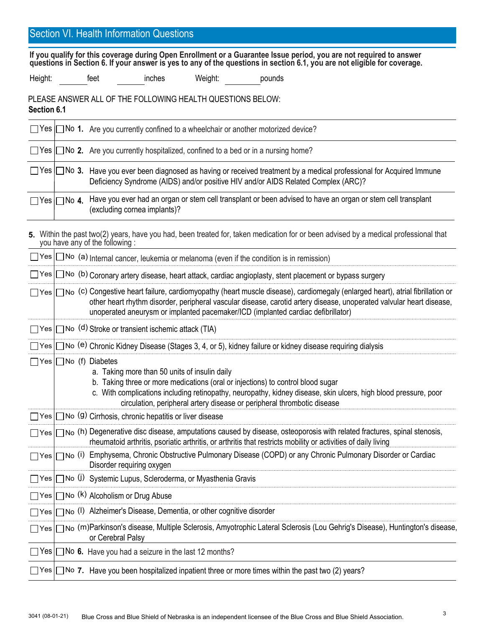## Section VI. Health Information Questions

If you qualify for this coverage during Open Enrollment or a Guarantee Issue period, you are not required to answer questions in Section 6. If your answer is yes to any of the questions in section 6.1, you are not eligible for coverage.

Height: feet inches Weight: pounds

PLEASE ANSWER ALL OF THE FOLLOWING HEALTH QUESTIONS BELOW: Section 6.1

|                         | $\Box$ Yes $\Box$ No 1. Are you currently confined to a wheelchair or another motorized device?                                                                                                               |
|-------------------------|---------------------------------------------------------------------------------------------------------------------------------------------------------------------------------------------------------------|
|                         | $\Box$ Yes $\Box$ No 2. Are you currently hospitalized, confined to a bed or in a nursing home?                                                                                                               |
|                         | □ Yes □ No 3. Have you ever been diagnosed as having or received treatment by a medical professional for Acquired Immune<br>Deficiency Syndrome (AIDS) and/or positive HIV and/or AIDS Related Complex (ARC)? |
| $\Box$ Yes $\Box$ No 4. | Have you ever had an organ or stem cell transplant or been advised to have an organ or stem cell transplant<br>(excluding cornea implants)?                                                                   |

Yes |∏No (m)Parkinson's disease, Multiple Sclerosis, Amyotrophic Lateral Sclerosis (Lou Gehrig's Disease), Huntington's disease, or Cerebral Palsy Yes  $\Box$  No (a) Internal cancer, leukemia or melanoma (even if the condition is in remission)  $Yes$   $\Box$  No (b) Coronary artery disease, heart attack, cardiac angioplasty, stent placement or bypass surgery Yes |∏No (C) Congestive heart failure, cardiomyopathy (heart muscle disease), cardiomegaly (enlarged heart), atrial fibrillation or Yes | no (d) Stroke or transient ischemic attack (TIA) Yes | ◯ No (e) Chronic Kidney Disease (Stages 3, 4, or 5), kidney failure or kidney disease requiring dialysis Yes | No (f) Diabetes 5. Within the past two(2) years, have you had, been treated for, taken medication for or been advised by a medical professional that you have any of the following : other heart rhythm disorder, peripheral vascular disease, carotid artery disease, unoperated valvular heart disease, unoperated aneurysm or implanted pacemaker/ICD (implanted cardiac defibrillator) a. Taking more than 50 units of insulin daily b. Taking three or more medications (oral or injections) to control blood sugar c. With complications including retinopathy, neuropathy, kidney disease, skin ulcers, high blood pressure, poor circulation, peripheral artery disease or peripheral thrombotic disease  $\Box$  Yes  $\Box$  No (9) Cirrhosis, chronic hepatitis or liver disease  $\gamma$ es  $| \bigcap$ No (h) Degenerative disc disease, amputations caused by disease, osteoporosis with related fractures, spinal stenosis, rheumatoid arthritis, psoriatic arthritis, or arthritis that restricts mobility or activities of daily living Yes | no (i) Emphysema, Chronic Obstructive Pulmonary Disease (COPD) or any Chronic Pulmonary Disorder or Cardiac Disorder requiring oxygen Yes | ◯ No (J) Systemic Lupus, Scleroderma, or Myasthenia Gravis Yes  $\Box$  No  $(k)$  Alcoholism or Drug Abuse Yes | No (I) Alzheimer's Disease, Dementia, or other cognitive disorder  $\exists$  Yes  $\Box$  No 6. Have you had a seizure in the last 12 months?  $\Box$  Yes  $\Box$  No 7. Have you been hospitalized inpatient three or more times within the past two (2) years?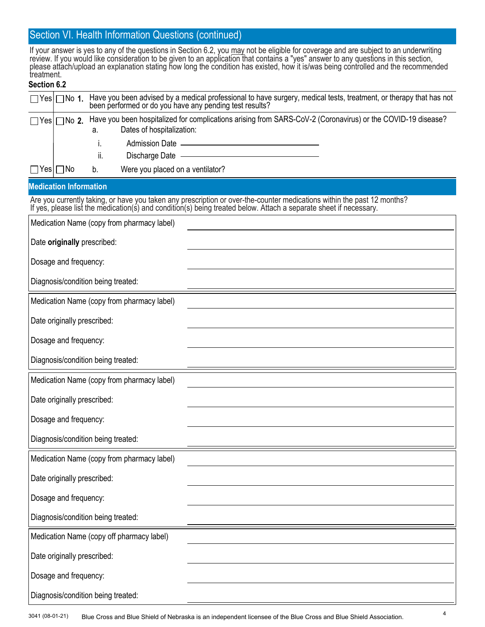## Section VI. Health Information Questions (continued)

If your answer is yes to any of the questions in Section 6.2, you may not be eligible for coverage and are subject to an underwriting review. If you would like consideration to be given to an application that contains a "yes" answer to any questions in this section, please attach/upload an explanation stating how long the condition has existed, how it is/was being controlled and the recommended treatment.

### Section 6.2

| איט ווטוויטסט                                                                                                                                                                                                                     |  |  |  |  |  |
|-----------------------------------------------------------------------------------------------------------------------------------------------------------------------------------------------------------------------------------|--|--|--|--|--|
| Have you been advised by a medical professional to have surgery, medical tests, treatment, or therapy that has not<br>been performed or do you have any pending test results?<br>$\Box$ Yes $\Box$ No 1.                          |  |  |  |  |  |
| Have you been hospitalized for complications arising from SARS-CoV-2 (Coronavirus) or the COVID-19 disease?<br>$\Box$ Yes $\Box$ No 2.<br>Dates of hospitalization:<br>а.                                                         |  |  |  |  |  |
| i.                                                                                                                                                                                                                                |  |  |  |  |  |
| ii.                                                                                                                                                                                                                               |  |  |  |  |  |
| Were you placed on a ventilator?<br>$\Box$ Yes $\Box$ No<br>b.                                                                                                                                                                    |  |  |  |  |  |
| <b>Medication Information</b>                                                                                                                                                                                                     |  |  |  |  |  |
| Are you currently taking, or have you taken any prescription or over-the-counter medications within the past 12 months?<br>If yes, please list the medication(s) and condition(s) being treated below. Attach a separate sheet if |  |  |  |  |  |
| Medication Name (copy from pharmacy label)                                                                                                                                                                                        |  |  |  |  |  |
| Date originally prescribed:                                                                                                                                                                                                       |  |  |  |  |  |
| Dosage and frequency:                                                                                                                                                                                                             |  |  |  |  |  |
| Diagnosis/condition being treated:                                                                                                                                                                                                |  |  |  |  |  |
| Medication Name (copy from pharmacy label)                                                                                                                                                                                        |  |  |  |  |  |
| Date originally prescribed:                                                                                                                                                                                                       |  |  |  |  |  |
| Dosage and frequency:                                                                                                                                                                                                             |  |  |  |  |  |
| Diagnosis/condition being treated:                                                                                                                                                                                                |  |  |  |  |  |
| Medication Name (copy from pharmacy label)                                                                                                                                                                                        |  |  |  |  |  |
| Date originally prescribed:                                                                                                                                                                                                       |  |  |  |  |  |
| Dosage and frequency:                                                                                                                                                                                                             |  |  |  |  |  |
| Diagnosis/condition being treated:                                                                                                                                                                                                |  |  |  |  |  |
| Medication Name (copy from pharmacy label)                                                                                                                                                                                        |  |  |  |  |  |
| Date originally prescribed:                                                                                                                                                                                                       |  |  |  |  |  |
| Dosage and frequency:                                                                                                                                                                                                             |  |  |  |  |  |
| Diagnosis/condition being treated:                                                                                                                                                                                                |  |  |  |  |  |
| Medication Name (copy off pharmacy label)                                                                                                                                                                                         |  |  |  |  |  |

Date originally prescribed:

Diagnosis/condition being treated:

Dosage and frequency: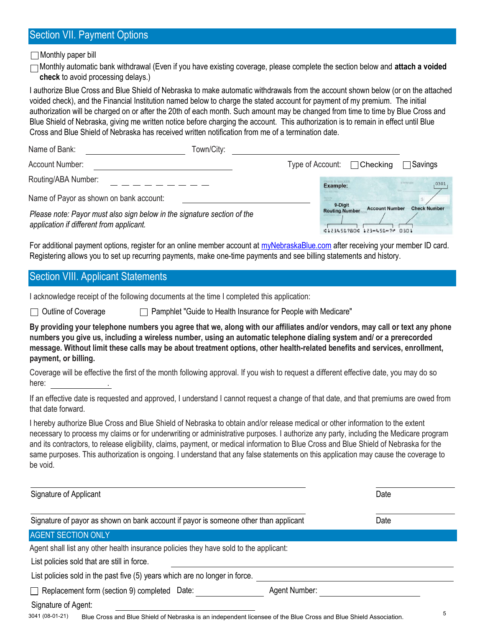# Section VII. Payment Options

 $\Box$  Monthly paper bill

 $\Box$ Monthly automatic bank withdrawal (Even if you have existing coverage, please complete the section below and attach a voided check to avoid processing delays.)

I authorize Blue Cross and Blue Shield of Nebraska to make automatic withdrawals from the account shown below (or on the attached voided check), and the Financial Institution named below to charge the stated account for payment of my premium. The initial authorization will be charged on or after the 20th of each month. Such amount may be changed from time to time by Blue Cross and Blue Shield of Nebraska, giving me written notice before charging the account. This authorization is to remain in effect until Blue Cross and Blue Shield of Nebraska has received written notification from me of a termination date.

| Name of Bank:                                                                                                       | Town/City: |                                  |                                                      |                     |
|---------------------------------------------------------------------------------------------------------------------|------------|----------------------------------|------------------------------------------------------|---------------------|
| Account Number:                                                                                                     |            | Type of Account: $\Box$ Checking |                                                      | $\sqcap$ Savings    |
| Routing/ABA Number:                                                                                                 |            | CHRIS B. WALKER<br>Example:      |                                                      | 5-5476/123<br>0301  |
| Name of Payor as shown on bank account:                                                                             |            |                                  |                                                      |                     |
| Please note: Payor must also sign below in the signature section of the<br>application if different from applicant. |            | 9-Digit<br><b>Routing Number</b> | <b>Account Number</b><br>¢123456780€ 123∞456∞7₽ 0301 | <b>Check Number</b> |

For additional payment options, register for an online member account at myNebraskaBlue.com after receiving your member ID card. Registering allows you to set up recurring payments, make one-time payments and see billing statements and history.

# Section VIII. Applicant Statements

I acknowledge receipt of the following documents at the time I completed this application:

 $\Box$  Outline of Coverage  $\Box$  Pamphlet "Guide to Health Insurance for People with Medicare"

By providing your telephone numbers you agree that we, along with our affiliates and/or vendors, may call or text any phone numbers you give us, including a wireless number, using an automatic telephone dialing system and/ or a prerecorded message. Without limit these calls may be about treatment options, other health-related benefits and services, enrollment, payment, or billing.

Coverage will be effective the first of the month following approval. If you wish to request a different effective date, you may do so here: the set of the set of the set of the set of the set of the set of the set of the set of the set of the set of the set of the set of the set of the set of the set of the set of the set of the set of the set of the set

If an effective date is requested and approved, I understand I cannot request a change of that date, and that premiums are owed from that date forward.

I hereby authorize Blue Cross and Blue Shield of Nebraska to obtain and/or release medical or other information to the extent necessary to process my claims or for underwriting or administrative purposes. I authorize any party, including the Medicare program and its contractors, to release eligibility, claims, payment, or medical information to Blue Cross and Blue Shield of Nebraska for the same purposes. This authorization is ongoing. I understand that any false statements on this application may cause the coverage to be void.

| Signature of Applicant                                                                                                              | Date          |   |
|-------------------------------------------------------------------------------------------------------------------------------------|---------------|---|
| Signature of payor as shown on bank account if payor is someone other than applicant                                                | Date          |   |
| <b>AGENT SECTION ONLY</b>                                                                                                           |               |   |
| Agent shall list any other health insurance policies they have sold to the applicant:                                               |               |   |
| List policies sold that are still in force.                                                                                         |               |   |
| List policies sold in the past five (5) years which are no longer in force.                                                         |               |   |
| $\Box$ Replacement form (section 9) completed Date:                                                                                 | Agent Number: |   |
| Signature of Agent:                                                                                                                 |               |   |
| 3041 (08-01-21)<br>Blue Cross and Blue Shield of Nebraska is an independent licensee of the Blue Cross and Blue Shield Association. |               | 5 |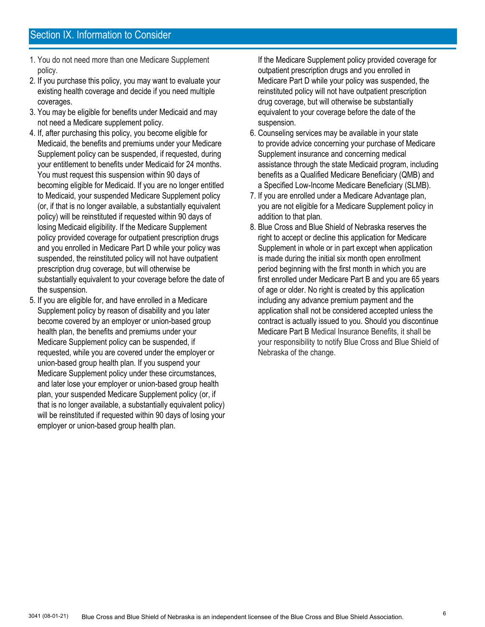- 1. You do not need more than one Medicare Supplement policy.
- 2. If you purchase this policy, you may want to evaluate your existing health coverage and decide if you need multiple coverages.
- 3. You may be eligible for benefits under Medicaid and may not need a Medicare supplement policy.
- 4. If, after purchasing this policy, you become eligible for Medicaid, the benefits and premiums under your Medicare Supplement policy can be suspended, if requested, during your entitlement to benefits under Medicaid for 24 months. You must request this suspension within 90 days of becoming eligible for Medicaid. If you are no longer entitled to Medicaid, your suspended Medicare Supplement policy (or, if that is no longer available, a substantially equivalent policy) will be reinstituted if requested within 90 days of losing Medicaid eligibility. If the Medicare Supplement policy provided coverage for outpatient prescription drugs and you enrolled in Medicare Part D while your policy was suspended, the reinstituted policy will not have outpatient prescription drug coverage, but will otherwise be substantially equivalent to your coverage before the date of the suspension.
- 5. If you are eligible for, and have enrolled in a Medicare Supplement policy by reason of disability and you later become covered by an employer or union-based group health plan, the benefits and premiums under your Medicare Supplement policy can be suspended, if requested, while you are covered under the employer or union-based group health plan. If you suspend your Medicare Supplement policy under these circumstances, and later lose your employer or union-based group health plan, your suspended Medicare Supplement policy (or, if that is no longer available, a substantially equivalent policy) will be reinstituted if requested within 90 days of losing your employer or union-based group health plan.

 If the Medicare Supplement policy provided coverage for outpatient prescription drugs and you enrolled in Medicare Part D while your policy was suspended, the reinstituted policy will not have outpatient prescription drug coverage, but will otherwise be substantially equivalent to your coverage before the date of the suspension.

- 6. Counseling services may be available in your state to provide advice concerning your purchase of Medicare Supplement insurance and concerning medical assistance through the state Medicaid program, including benefits as a Qualified Medicare Beneficiary (QMB) and a Specified Low-Income Medicare Beneficiary (SLMB).
- 7. If you are enrolled under a Medicare Advantage plan, you are not eligible for a Medicare Supplement policy in addition to that plan.
- 8. Blue Cross and Blue Shield of Nebraska reserves the right to accept or decline this application for Medicare Supplement in whole or in part except when application is made during the initial six month open enrollment period beginning with the first month in which you are first enrolled under Medicare Part B and you are 65 years of age or older. No right is created by this application including any advance premium payment and the application shall not be considered accepted unless the contract is actually issued to you. Should you discontinue Medicare Part B Medical Insurance Benefits, it shall be your responsibility to notify Blue Cross and Blue Shield of Nebraska of the change.